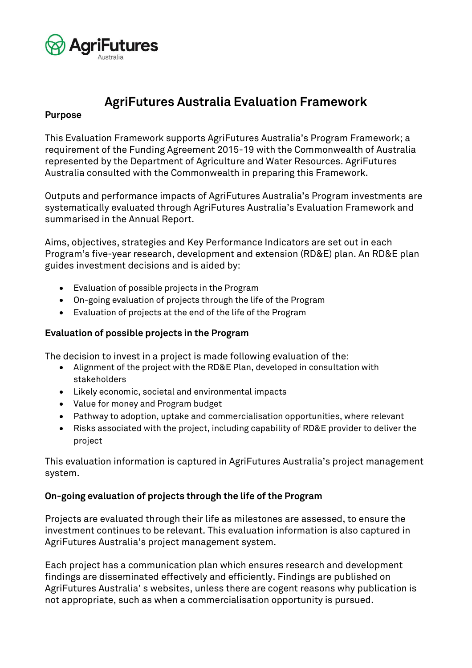

# **AgriFutures Australia Evaluation Framework**

### **Purpose**

This Evaluation Framework supports AgriFutures Australia's Program Framework; a requirement of the Funding Agreement 2015-19 with the Commonwealth of Australia represented by the Department of Agriculture and Water Resources. AgriFutures Australia consulted with the Commonwealth in preparing this Framework.

Outputs and performance impacts of AgriFutures Australia's Program investments are systematically evaluated through AgriFutures Australia's Evaluation Framework and summarised in the Annual Report.

Aims, objectives, strategies and Key Performance Indicators are set out in each Program's five-year research, development and extension (RD&E) plan. An RD&E plan guides investment decisions and is aided by:

- Evaluation of possible projects in the Program
- On-going evaluation of projects through the life of the Program
- Evaluation of projects at the end of the life of the Program

## **Evaluation of possible projects in the Program**

The decision to invest in a project is made following evaluation of the:

- Alignment of the project with the RD&E Plan, developed in consultation with stakeholders
- Likely economic, societal and environmental impacts
- Value for money and Program budget
- Pathway to adoption, uptake and commercialisation opportunities, where relevant
- Risks associated with the project, including capability of RD&E provider to deliver the project

This evaluation information is captured in AgriFutures Australia's project management system.

#### **On-going evaluation of projects through the life of the Program**

Projects are evaluated through their life as milestones are assessed, to ensure the investment continues to be relevant. This evaluation information is also captured in AgriFutures Australia's project management system.

Each project has a communication plan which ensures research and development findings are disseminated effectively and efficiently. Findings are published on AgriFutures Australia' s websites, unless there are cogent reasons why publication is not appropriate, such as when a commercialisation opportunity is pursued.